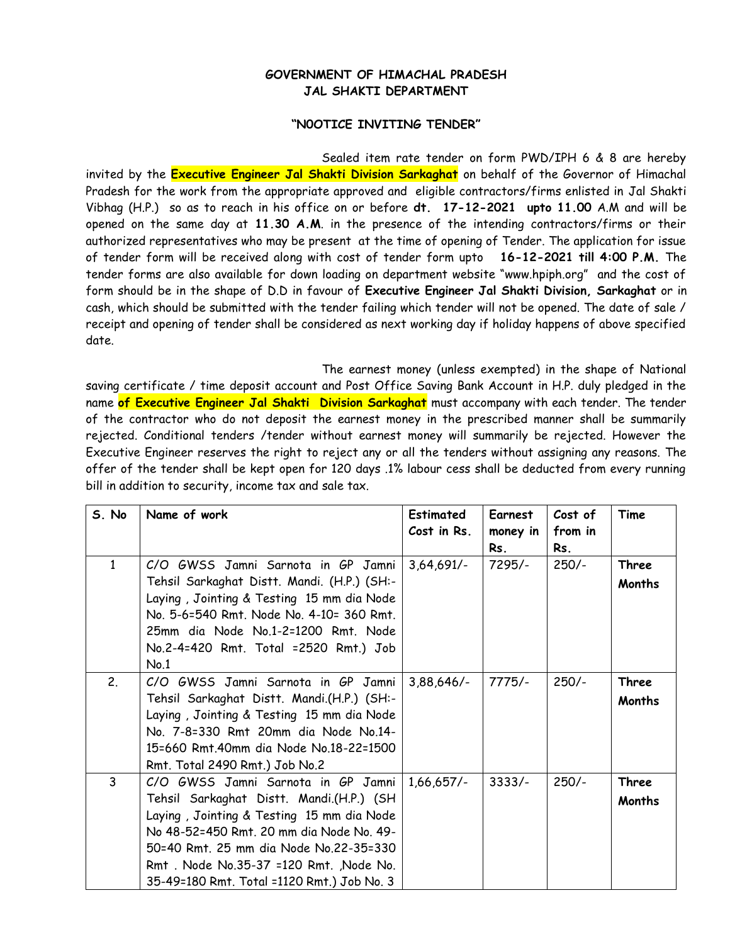## **GOVERNMENT OF HIMACHAL PRADESH JAL SHAKTI DEPARTMENT**

## **"N0OTICE INVITING TENDER"**

Sealed item rate tender on form PWD/IPH 6 & 8 are hereby invited by the **Executive Engineer Jal Shakti Division Sarkaghat** on behalf of the Governor of Himachal Pradesh for the work from the appropriate approved and eligible contractors/firms enlisted in Jal Shakti Vibhag (H.P.) so as to reach in his office on or before **dt. 17-12-2021 upto 11.00** A.M and will be opened on the same day at **11.30 A.M**. in the presence of the intending contractors/firms or their authorized representatives who may be present at the time of opening of Tender. The application for issue of tender form will be received along with cost of tender form upto **16-12-2021 till 4:00 P.M.** The tender forms are also available for down loading on department website "www.hpiph.org" and the cost of form should be in the shape of D.D in favour of **Executive Engineer Jal Shakti Division, Sarkaghat** or in cash, which should be submitted with the tender failing which tender will not be opened. The date of sale / receipt and opening of tender shall be considered as next working day if holiday happens of above specified date.

The earnest money (unless exempted) in the shape of National saving certificate / time deposit account and Post Office Saving Bank Account in H.P. duly pledged in the name **of Executive Engineer Jal Shakti Division Sarkaghat** must accompany with each tender. The tender of the contractor who do not deposit the earnest money in the prescribed manner shall be summarily rejected. Conditional tenders /tender without earnest money will summarily be rejected. However the Executive Engineer reserves the right to reject any or all the tenders without assigning any reasons. The offer of the tender shall be kept open for 120 days .1% labour cess shall be deducted from every running bill in addition to security, income tax and sale tax.

| S. No | Name of work                                                                                                                                                                                                                                                                                              | <b>Estimated</b><br>Cost in Rs. | Earnest<br>money in<br>Rs. | Cost of<br>from in<br>Rs. | Time            |
|-------|-----------------------------------------------------------------------------------------------------------------------------------------------------------------------------------------------------------------------------------------------------------------------------------------------------------|---------------------------------|----------------------------|---------------------------|-----------------|
| 1     | C/O GWSS Jamni Sarnota in GP Jamni<br>Tehsil Sarkaghat Distt. Mandi. (H.P.) (SH:-<br>Laying, Jointing & Testing 15 mm dia Node<br>No. 5-6=540 Rmt. Node No. 4-10= 360 Rmt.<br>25mm dia Node No.1-2=1200 Rmt. Node<br>No.2-4=420 Rmt. Total =2520 Rmt.) Job<br>No.1                                        | $3,64,691/-$                    | 7295/-                     | $250/-$                   | Three<br>Months |
| 2.    | C/O GWSS Jamni Sarnota in GP Jamni<br>Tehsil Sarkaghat Distt. Mandi.(H.P.) (SH:-<br>Laying, Jointing & Testing 15 mm dia Node<br>No. 7-8=330 Rmt 20mm dia Node No.14-<br>15=660 Rmt.40mm dia Node No.18-22=1500<br>Rmt. Total 2490 Rmt.) Job No.2                                                         | $3,88,646/-$                    | $7775/-$                   | $250/-$                   | Three<br>Months |
| 3     | C/O GWSS Jamni Sarnota in GP Jamni<br>Tehsil Sarkaghat Distt. Mandi.(H.P.) (SH<br>Laying, Jointing & Testing 15 mm dia Node<br>No 48-52=450 Rmt. 20 mm dia Node No. 49-<br>50=40 Rmt. 25 mm dia Node No.22-35=330<br>Rmt. Node No.35-37 = 120 Rmt. Node No.<br>35-49=180 Rmt. Total =1120 Rmt.) Job No. 3 | $1,66,657/-$                    | $3333/-$                   | $250/-$                   | Three<br>Months |